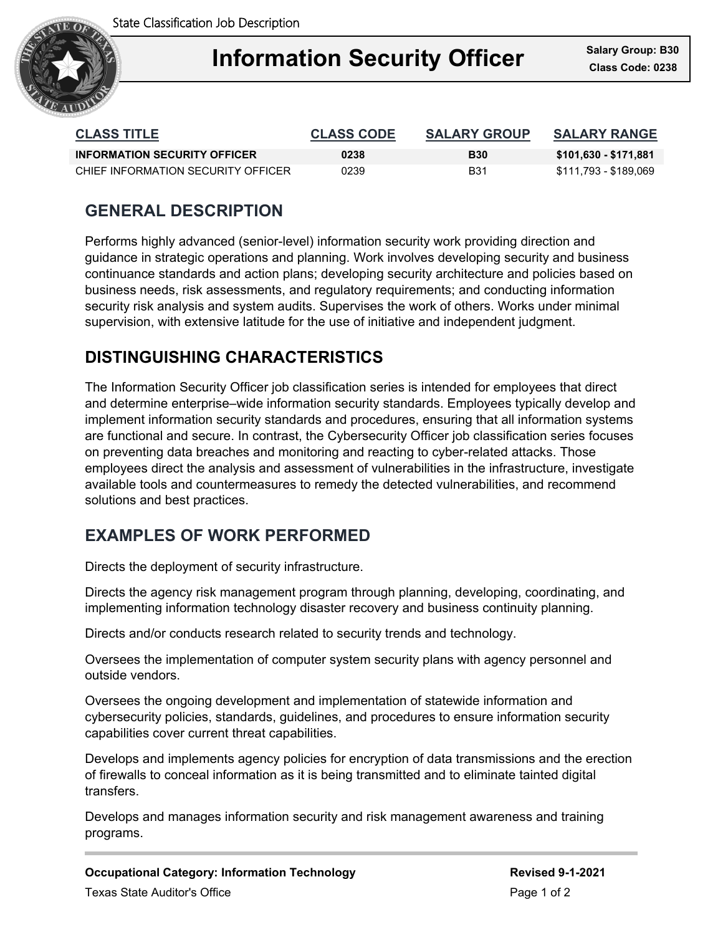State Classification Job Description



## Ξ **Information Security Officer Class Code: 0238**

| <b>CLASS TITLE</b>                  | <b>CLASS CODE</b> | <b>SALARY GROUP</b> | <b>SALARY RANGE</b>   |
|-------------------------------------|-------------------|---------------------|-----------------------|
| <b>INFORMATION SECURITY OFFICER</b> | 0238              | <b>B30</b>          | \$101,630 - \$171,881 |
| CHIEF INFORMATION SECURITY OFFICER  | 0239              | B31                 | \$111,793 - \$189,069 |

# **GENERAL DESCRIPTION**

Performs highly advanced (senior-level) information security work providing direction and guidance in strategic operations and planning. Work involves developing security and business continuance standards and action plans; developing security architecture and policies based on business needs, risk assessments, and regulatory requirements; and conducting information security risk analysis and system audits. Supervises the work of others. Works under minimal supervision, with extensive latitude for the use of initiative and independent judgment.

# **DISTINGUISHING CHARACTERISTICS**

The Information Security Officer job classification series is intended for employees that direct and determine enterprise–wide information security standards. Employees typically develop and implement information security standards and procedures, ensuring that all information systems are functional and secure. In contrast, the Cybersecurity Officer job classification series focuses on preventing data breaches and monitoring and reacting to cyber-related attacks. Those employees direct the analysis and assessment of vulnerabilities in the infrastructure, investigate available tools and countermeasures to remedy the detected vulnerabilities, and recommend solutions and best practices.

## **EXAMPLES OF WORK PERFORMED**

Directs the deployment of security infrastructure.

Directs the agency risk management program through planning, developing, coordinating, and implementing information technology disaster recovery and business continuity planning.

Directs and/or conducts research related to security trends and technology.

Oversees the implementation of computer system security plans with agency personnel and outside vendors.

Oversees the ongoing development and implementation of statewide information and cybersecurity policies, standards, guidelines, and procedures to ensure information security capabilities cover current threat capabilities.

Develops and implements agency policies for encryption of data transmissions and the erection of firewalls to conceal information as it is being transmitted and to eliminate tainted digital transfers.

Develops and manages information security and risk management awareness and training programs.